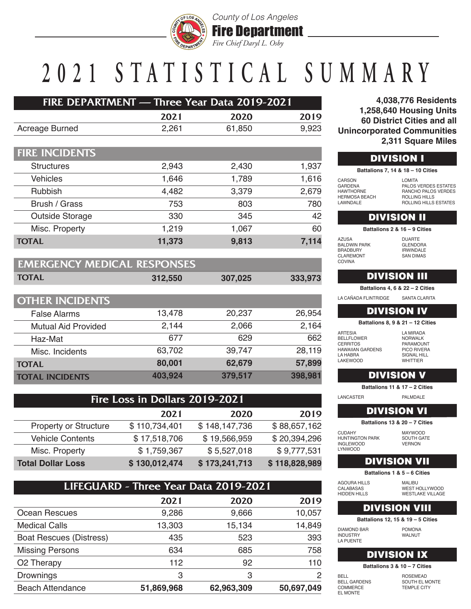

#### *County of Los Angeles* Fire Department *Fire Chief Daryl L. Osby*

# **2021 STATISTICA L SUMMARY**

| <b>FIRE DEPARTMENT — Three Year Data 2019-2021</b> |       |        |       |
|----------------------------------------------------|-------|--------|-------|
|                                                    | 2021  | 2020   | 2019  |
| Acreage Burned                                     | 2.261 | 61.850 | 9,923 |

| <b>FIRE INCIDENTS</b> |        |       |       |
|-----------------------|--------|-------|-------|
| <b>Structures</b>     | 2,943  | 2,430 | 1,937 |
| <b>Vehicles</b>       | 1,646  | 1,789 | 1,616 |
| Rubbish               | 4,482  | 3,379 | 2,679 |
| Brush / Grass         | 753    | 803   | 780   |
| Outside Storage       | 330    | 345   | 42    |
| Misc. Property        | 1,219  | 1,067 | 60    |
| <b>TOTAL</b>          | 11,373 | 9,813 | 7,114 |

| <b>EMERGENCY MEDICAL RESPONSES</b> |         |         |         |
|------------------------------------|---------|---------|---------|
| <b>TOTAL</b>                       | 312,550 | 307,025 | 333,973 |

| <b>OTHER INCIDENTS</b>     |         |         |         |
|----------------------------|---------|---------|---------|
| <b>False Alarms</b>        | 13,478  | 20,237  | 26,954  |
| <b>Mutual Aid Provided</b> | 2,144   | 2,066   | 2,164   |
| Haz-Mat                    | 677     | 629     | 662     |
| Misc. Incidents            | 63,702  | 39,747  | 28,119  |
| <b>TOTAL</b>               | 80,001  | 62,679  | 57,899  |
| <b>TOTAL INCIDENTS</b>     | 403,924 | 379,517 | 398,981 |

| Fire Loss in Dollars 2019-2021 |               |               |               |
|--------------------------------|---------------|---------------|---------------|
|                                | 2021          | 2020          | 2019          |
| <b>Property or Structure</b>   | \$110,734,401 | \$148,147,736 | \$88,657,162  |
| <b>Vehicle Contents</b>        | \$17,518,706  | \$19,566,959  | \$20,394,296  |
| Misc. Property                 | \$1,759,367   | \$5,527,018   | \$9,777,531   |
| <b>Total Dollar Loss</b>       | \$130,012,474 | \$173,241,713 | \$118,828,989 |

| LIFEGUARD - Three Year Data 2019-2021 |            |            |            |
|---------------------------------------|------------|------------|------------|
|                                       | 2021       | 2020       | 2019       |
| Ocean Rescues                         | 9,286      | 9,666      | 10,057     |
| <b>Medical Calls</b>                  | 13,303     | 15,134     | 14,849     |
| <b>Boat Rescues (Distress)</b>        | 435        | 523        | 393        |
| <b>Missing Persons</b>                | 634        | 685        | 758        |
| O <sub>2</sub> Therapy                | 112        | 92         | 110        |
| Drownings                             | 3          | 3          | 2          |
| <b>Beach Attendance</b>               | 51,869,968 | 62,963,309 | 50,697,049 |

**4,038,776 Residents 1,258,640 Housing Units 60 District Cities and all Unincorporated Communities 2,311 Square Miles**

| <b>DIVISION I</b> |                                   |
|-------------------|-----------------------------------|
|                   | Battalions 7, 14 & 18 - 10 Cities |
| CARSON            | <b>LOMITA</b>                     |
| <b>GARDENA</b>    | <b>PALOS VERDES</b>               |
| <b>HAWTHORNE</b>  | RANCHO PALOS                      |

PALOS VERDES ESTATES RANCHO PALOS VERDES ROLLING HILLS ROLLING HILLS ESTATES

#### DIVISION II

**Battalions 2 & 16 – 9 Cities**

| AZUSA                |
|----------------------|
| <b>BAI DWIN PARK</b> |
| <b>BRADBURY</b>      |
| <b>CLAREMONT</b>     |
| COVINA               |

HERMOSA BEACH LAWNDALE

> DUARTE GLENDORA IRWINDALE SAN DIMAS

## DIVISION III

**Battalions 4, 6 & 22 – 2 Cities**

LA CAÑADA FLINTRIDGE SANTA CLARITA

## DIVISION IV

**Battalions 8, 9 & 21 – 12 Cities**

ARTESIA BELLFLOWER CERRITOS HAWAIIAN GARDENS LA HABRA LAKEWOOD

LA MIRADA NORWALK PARAMOUNT PICO RIVERA SIGNAL HILL **WHITTIFR** 

## DIVISION V

**Battalions 11 & 17 – 2 Cities**

LANCASTER PALMDALE

## DIVISION VI

**Battalions 13 & 20 – 7 Cities**

CUDAHY HUNTINGTON PARK INGLEWOOD LYNWOOD

MAYWOOD SOUTH GATE VERNON

## DIVISION VII

**Battalions 1 & 5 – 6 Cities**

| AGOURA HILLS        | MALIBU                  |
|---------------------|-------------------------|
| CALABASAS           | WEST HOLLYWOOD          |
| <b>HIDDEN HILLS</b> | <b>WESTLAKE VILLAGE</b> |
|                     |                         |

## DIVISION VIII

**Battalions 12, 15 & 19 – 5 Cities**

DIAMOND BAR INDUSTRY LA PUENTE

POMONA WALNUT

#### DIVISION IX

**Battalions 3 & 10 – 7 Cities**

BELL BELL GARDENS COMMERCE EL MONTE

ROSEMEAD SOUTH EL MONTE TEMPLE CITY